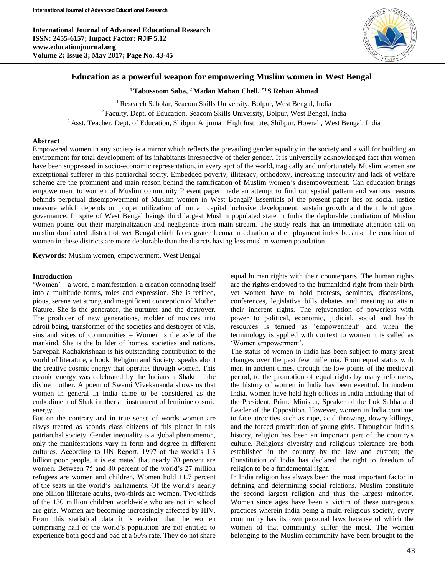

# **Education as a powerful weapon for empowering Muslim women in West Bengal**

**<sup>1</sup> Tabussoom Saba, <sup>2</sup> Madan Mohan Chell, \*3 S Rehan Ahmad**

<sup>1</sup> Research Scholar, Seacom Skills University, Bolpur, West Bengal, India <sup>2</sup>Faculty, Dept. of Education, Seacom Skills University, Bolpur, West Bengal, India <sup>3</sup> Asst. Teacher, Dept. of Education, Shibpur Anjuman High Institute, Shibpur, Howrah, West Bengal, India

# **Abstract**

Empowered women in any society is a mirror which reflects the prevailing gender equality in the society and a will for building an environment for total development of its inhabitants inrespective of theier gender. It is universally acknowledged fact that women have been suppressed in socio-economic representation, in every aprt of the world, tragically and unfortunately Muslim women are excetptional sufferer in this patriarchal socity. Embedded poverty, illiteracy, orthodoxy, increasing insecurity and lack of welfare scheme are the prominent and main reason behind the ramification of Muslim women's disempowerment. Can education brings empowerment to women of Muslim community Present paper made an attempt to find out spatial pattern and various reasons behinds perpetual disempowerment of Muslim women in West Bengal? Essentials of the present paper lies on social justice measure which depends on proper utilization of human capital inclusive development, sustain growth and the title of good governance. In spite of West Bengal beings third largest Muslim populated state in India the deplorable condiation of Muslim women points out their marginalization and negligence from main stream. The study reals that an immediate attention call on muslim dominated district of wet Bengal ehich faces grater lacuna in eduation and employment index because the condition of women in these districts are more deplorable than the distrcts having less muslim women population.

**Keywords:** Muslim women, empowerment, West Bengal

#### **Introduction**

Ī

'Women' – a word, a manifestation, a creation connoting itself into a multitude forms, roles and expression. She is refined, pious, serene yet strong and magnificent conception of Mother Nature. She is the generator, the nurturer and the destroyer. The producer of new generations, molder of novices into adroit being, transformer of the societies and destroyer of vils, sins and vices of communities – Women is the axle of the mankind. She is the builder of homes, societies and nations. Sarvepali Radhakrishnan is his outstanding contribution to the world of literature, a book, Religion and Society, speaks about the creative cosmic energy that operates through women. This cosmic energy was celebrated by the Indians a Shakti – the divine mother. A poem of Swami Vivekananda shows us that women in general in India came to be considered as the embodiment of Shakti rather an instrument of feminine cosmic energy.

But on the contrary and in true sense of words women are alwys treated as seonds class citizens of this planet in this patriarchal society. Gender inequality is a global phenomenon, only the manifestations vary in form and degree in different cultures. According to UN Report, 1997 of the world's 1.3 billion poor people, it is estimated that nearly 70 percent are women. Between 75 and 80 percent of the world's 27 million refugees are women and children. Women hold 11.7 percent of the seats in the world's parliaments. Of the world's nearly one billion illiterate adults, two-thirds are women. Two-thirds of the 130 million children worldwide who are not in school are girls. Women are becoming increasingly affected by HIV. From this statistical data it is evident that the women comprising half of the world's population are not entitled to experience both good and bad at a 50% rate. They do not share

equal human rights with their counterparts. The human rights are the rights endowed to the humankind right from their birth yet women have to hold protests, seminars, discussions, conferences, legislative bills debates and meeting to attain their inherent rights. The rejuvenation of powerless with power to political, economic, judicial, social and health resources is termed as 'empowerment' and when the terminology is applied with context to women it is called as 'Women empowerment'.

The status of women in India has been subject to many great changes over the past few millennia. From equal status with men in ancient times, through the low points of the medieval period, to the promotion of equal rights by many reformers, the history of women in India has been eventful. In modern India, women have held high offices in India including that of the President, Prime Minister, Speaker of the Lok Sabha and Leader of the Opposition. However, women in India continue to face atrocities such as rape, acid throwing, dowry killings, and the forced prostitution of young girls. Throughout India's history, religion has been an important part of the country's culture. Religious diversity and religious tolerance are both established in the country by the law and custom; the Constitution of India has declared the right to freedom of religion to be a fundamental right.

In India religion has always been the most important factor in defining and determining social relations. Muslim constitute the second largest religion and thus the largest minority. Women since ages have been a victim of these outrageous practices wherein India being a multi-religious society, every community has its own personal laws because of which the women of that community suffer the most. The women belonging to the Muslim community have been brought to the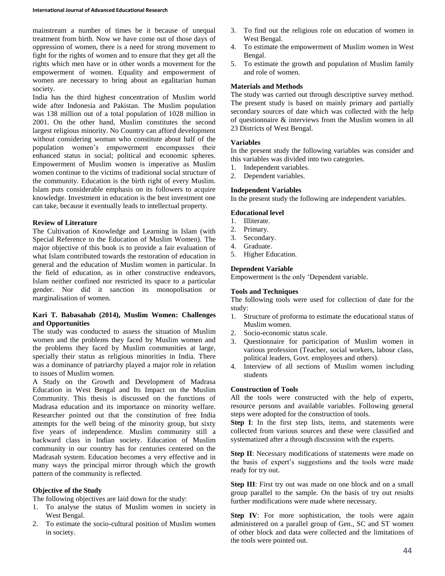mainstream a number of times be it because of unequal treatment from birth. Now we have come out of those days of oppression of women, there is a need for strong movement to fight for the rights of women and to ensure that they get all the rights which men have or in other words a movement for the empowerment of women. Equality and empowerment of women are necessary to bring about an egalitarian human society.

India has the third highest concentration of Muslim world wide after Indonesia and Pakistan. The Muslim population was 138 million out of a total population of 1028 million in 2001. On the other hand, Muslim constitutes the second largest religious minority. No Country can afford development without considering woman who constitute about half of the population women's empowerment encompasses their enhanced status in social; political and economic spheres. Empowerment of Muslim women is imperative as Muslim women continue to the victims of traditional social structure of the community. Education is the birth right of every Muslim. Islam puts considerable emphasis on its followers to acquire knowledge. Investment in education is the best investment one can take, because it eventually leads to intellectual property.

## **Review of Literature**

The Cultivation of Knowledge and Learning in Islam (with Special Reference to the Education of Muslim Women). The major objective of this book is to provide a fair evaluation of what Islam contributed towards the restoration of education in general and the education of Muslim women in particular. In the field of education, as in other constructive endeavors, Islam neither confined nor restricted its space to a particular gender. Nor did it sanction its monopolisation or marginalisation of women.

# **Kari T. Babasahab (2014), Muslim Women: Challenges and Opportunities**

The study was conducted to assess the situation of Muslim women and the problems they faced by Muslim women and the problems they faced by Muslim communities at large, specially their status as religious minorities in India. There was a dominance of patriarchy played a major role in relation to issues of Muslim women.

A Study on the Growth and Development of Madrasa Education in West Bengal and Its Impact on the Muslim Community. This thesis is discussed on the functions of Madrasa education and its importance on minority welfare. Researcher pointed out that the constitution of free India attempts for the well being of the minority group, but sixty five years of independence. Muslim community still a backward class in Indian society. Education of Muslim community in our country has for centuries centered on the Madrasah system. Education becomes a very effective and in many ways the principal mirror through which the growth pattern of the community is reflected.

# **Objective of the Study**

The following objectives are laid down for the study:

- 1. To analyse the status of Muslim women in society in West Bengal.
- 2. To estimate the socio-cultural position of Muslim women in society.
- 3. To find out the religious role on education of women in West Bengal.
- 4. To estimate the empowerment of Muslim women in West Bengal.
- 5. To estimate the growth and population of Muslim family and role of women.

# **Materials and Methods**

The study was carried out through descriptive survey method. The present study is based on mainly primary and partially secondary sources of date which was collected with the help of questionnaire & interviews from the Muslim women in all 23 Districts of West Bengal.

## **Variables**

In the present study the following variables was consider and this variables was divided into two categories.

- 1. Independent variables.
- 2. Dependent variables.

# **Independent Variables**

In the present study the following are independent variables.

## **Educational level**

- 1. Illiterate.
- 2. Primary.
- 3. Secondary.
- 4. Graduate.
- 5. Higher Education.

# **Dependent Variable**

Empowerment is the only 'Dependent variable.

### **Tools and Techniques**

The following tools were used for collection of date for the study:

- 1. Structure of proforma to estimate the educational status of Muslim women.
- 2. Socio-economic status scale.
- 3. Questionnaire for participation of Muslim women in various profession (Teacher, social workers, labour class, political leaders, Govt. employees and others).
- 4. Interview of all sections of Muslim women including students

#### **Construction of Tools**

All the tools were constructed with the help of experts, resource persons and available variables. Following general steps were adopted for the construction of tools.

**Step I**: In the first step lists, items, and statements were collected from various sources and these were classified and systematized after a through discussion with the experts.

**Step II**: Necessary modifications of statements were made on the basis of expert's suggestions and the tools were made ready for try out.

**Step III**: First try out was made on one block and on a small group parallel to the sample. On the basis of try out results further modifications were made where necessary.

**Step IV**: For more sophistication, the tools were again administered on a parallel group of Gen., SC and ST women of other block and data were collected and the limitations of the tools were pointed out.